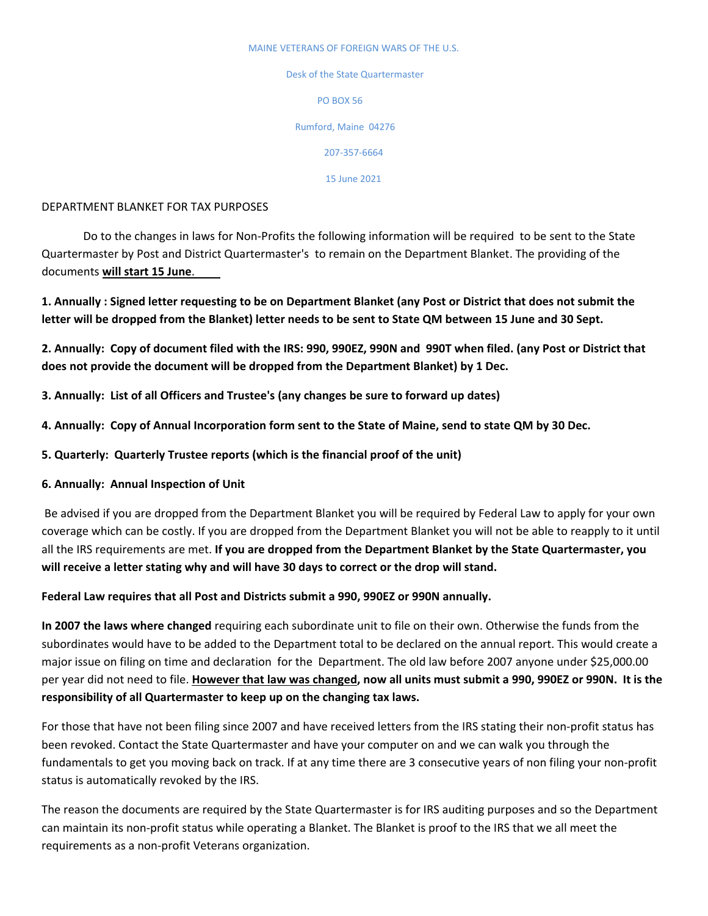## MAINE VETERANS OF FOREIGN WARS OF THE U.S.

Desk of the State Quartermaster PO BOX 56 Rumford, Maine 04276

207‐357-6664

15 June 2021

## DEPARTMENT BLANKET FOR TAX PURPOSES

Do to the changes in laws for Non‐Profits the following information will be required to be sent to the State Quartermaster by Post and District Quartermaster's to remain on the Department Blanket. The providing of the documents **will start 15 June**.

1. Annually: Signed letter requesting to be on Department Blanket (any Post or District that does not submit the letter will be dropped from the Blanket) letter needs to be sent to State QM between 15 June and 30 Sept.

2. Annually: Copy of document filed with the IRS: 990, 990EZ, 990N and 990T when filed. (any Post or District that **does not provide the document will be dropped from the Department Blanket) by 1 Dec.**

**3. Annually: List of all Officers and Trustee's (any changes be sure to forward up dates)**

- 4. Annually: Copy of Annual Incorporation form sent to the State of Maine, send to state QM by 30 Dec.
- **5. Quarterly: Quarterly Trustee reports (which is the financial proof of the unit)**
- **6. Annually: Annual Inspection of Unit**

Be advised if you are dropped from the Department Blanket you will be required by Federal Law to apply for your own coverage which can be costly. If you are dropped from the Department Blanket you will not be able to reapply to it until all the IRS requirements are met. **If you are dropped from the Department Blanket by the State Quartermaster, you will receive a letter stating why and will have 30 days to correct or the drop will stand.**

**Federal Law requires that all Post and Districts submit a 990, 990EZ or 990N annually.**

**In 2007 the laws where changed** requiring each subordinate unit to file on their own. Otherwise the funds from the subordinates would have to be added to the Department total to be declared on the annual report. This would create a major issue on filing on time and declaration for the Department. The old law before 2007 anyone under \$25,000.00 per year did not need to file. However that law was changed, now all units must submit a 990, 990EZ or 990N. It is the **responsibility of all Quartermaster to keep up on the changing tax laws.**

For those that have not been filing since 2007 and have received letters from the IRS stating their non-profit status has been revoked. Contact the State Quartermaster and have your computer on and we can walk you through the fundamentals to get you moving back on track. If at any time there are 3 consecutive years of non filing your non‐profit status is automatically revoked by the IRS.

The reason the documents are required by the State Quartermaster is for IRS auditing purposes and so the Department can maintain its non‐profit status while operating a Blanket. The Blanket is proof to the IRS that we all meet the requirements as a non‐profit Veterans organization.